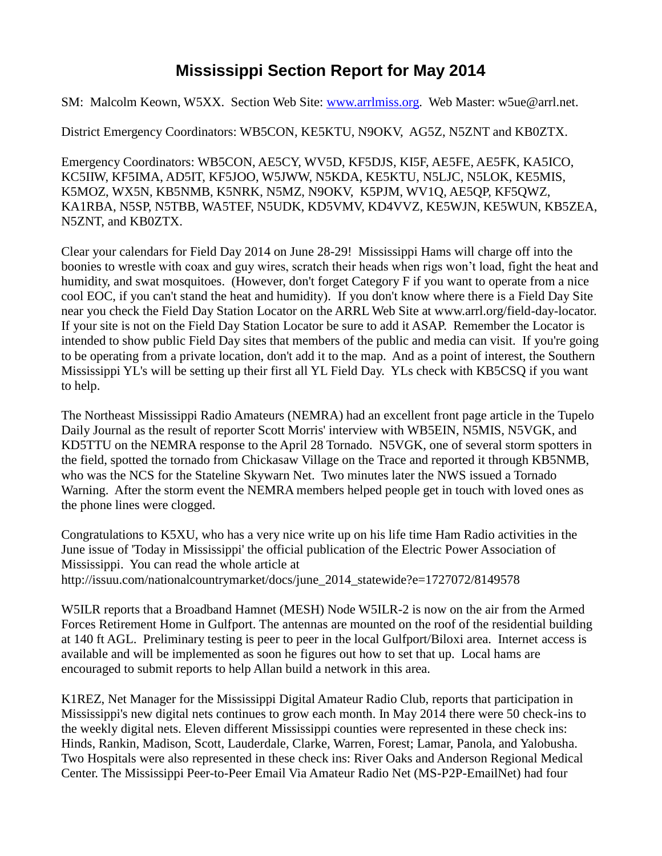## **Mississippi Section Report for May 2014**

SM: Malcolm Keown, W5XX. Section Web Site: [www.arrlmiss.org.](http://www.arrlmiss.org/) Web Master: w5ue@arrl.net.

District Emergency Coordinators: WB5CON, KE5KTU, N9OKV, AG5Z, N5ZNT and KB0ZTX.

Emergency Coordinators: WB5CON, AE5CY, WV5D, KF5DJS, KI5F, AE5FE, AE5FK, KA5ICO, KC5IIW, KF5IMA, AD5IT, KF5JOO, W5JWW, N5KDA, KE5KTU, N5LJC, N5LOK, KE5MIS, K5MOZ, WX5N, KB5NMB, K5NRK, N5MZ, N9OKV, K5PJM, WV1Q, AE5QP, KF5QWZ, KA1RBA, N5SP, N5TBB, WA5TEF, N5UDK, KD5VMV, KD4VVZ, KE5WJN, KE5WUN, KB5ZEA, N5ZNT, and KB0ZTX.

Clear your calendars for Field Day 2014 on June 28-29! Mississippi Hams will charge off into the boonies to wrestle with coax and guy wires, scratch their heads when rigs won't load, fight the heat and humidity, and swat mosquitoes. (However, don't forget Category F if you want to operate from a nice cool EOC, if you can't stand the heat and humidity). If you don't know where there is a Field Day Site near you check the Field Day Station Locator on the ARRL Web Site at www.arrl.org/field-day-locator. If your site is not on the Field Day Station Locator be sure to add it ASAP. Remember the Locator is intended to show public Field Day sites that members of the public and media can visit. If you're going to be operating from a private location, don't add it to the map. And as a point of interest, the Southern Mississippi YL's will be setting up their first all YL Field Day. YLs check with KB5CSQ if you want to help.

The Northeast Mississippi Radio Amateurs (NEMRA) had an excellent front page article in the Tupelo Daily Journal as the result of reporter Scott Morris' interview with WB5EIN, N5MIS, N5VGK, and KD5TTU on the NEMRA response to the April 28 Tornado. N5VGK, one of several storm spotters in the field, spotted the tornado from Chickasaw Village on the Trace and reported it through KB5NMB, who was the NCS for the Stateline Skywarn Net. Two minutes later the NWS issued a Tornado Warning. After the storm event the NEMRA members helped people get in touch with loved ones as the phone lines were clogged.

Congratulations to K5XU, who has a very nice write up on his life time Ham Radio activities in the June issue of 'Today in Mississippi' the official publication of the Electric Power Association of Mississippi. You can read the whole article at http://issuu.com/nationalcountrymarket/docs/june\_2014\_statewide?e=1727072/8149578

W5ILR reports that a Broadband Hamnet (MESH) Node W5ILR-2 is now on the air from the Armed Forces Retirement Home in Gulfport. The antennas are mounted on the roof of the residential building at 140 ft AGL. Preliminary testing is peer to peer in the local Gulfport/Biloxi area. Internet access is available and will be implemented as soon he figures out how to set that up. Local hams are encouraged to submit reports to help Allan build a network in this area.

K1REZ, Net Manager for the Mississippi Digital Amateur Radio Club, reports that participation in Mississippi's new digital nets continues to grow each month. In May 2014 there were 50 check-ins to the weekly digital nets. Eleven different Mississippi counties were represented in these check ins: Hinds, Rankin, Madison, Scott, Lauderdale, Clarke, Warren, Forest; Lamar, Panola, and Yalobusha. Two Hospitals were also represented in these check ins: River Oaks and Anderson Regional Medical Center. The Mississippi Peer-to-Peer Email Via Amateur Radio Net (MS-P2P-EmailNet) had four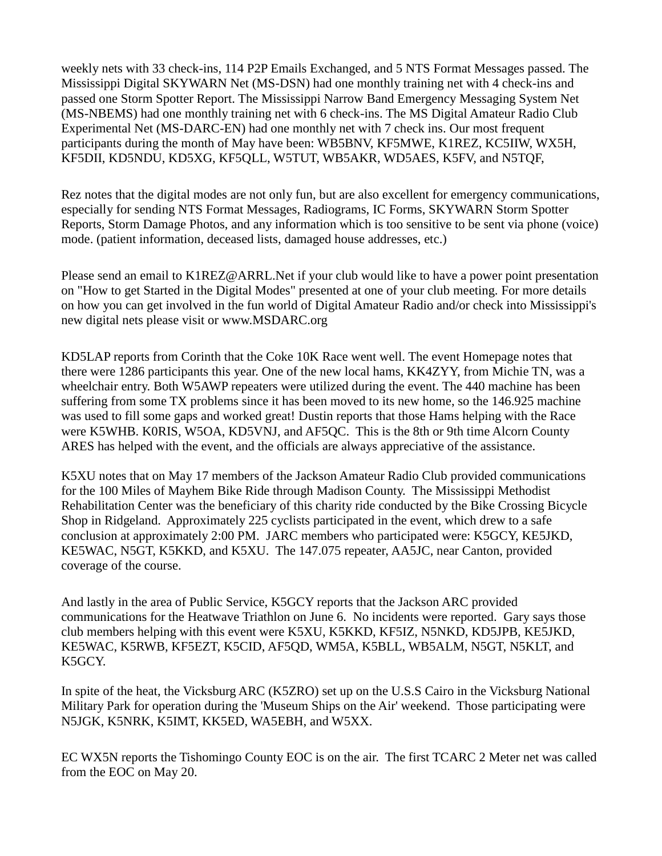weekly nets with 33 check-ins, 114 P2P Emails Exchanged, and 5 NTS Format Messages passed. The Mississippi Digital SKYWARN Net (MS-DSN) had one monthly training net with 4 check-ins and passed one Storm Spotter Report. The Mississippi Narrow Band Emergency Messaging System Net (MS-NBEMS) had one monthly training net with 6 check-ins. The MS Digital Amateur Radio Club Experimental Net (MS-DARC-EN) had one monthly net with 7 check ins. Our most frequent participants during the month of May have been: WB5BNV, KF5MWE, K1REZ, KC5IIW, WX5H, KF5DII, KD5NDU, KD5XG, KF5QLL, W5TUT, WB5AKR, WD5AES, K5FV, and N5TQF,

Rez notes that the digital modes are not only fun, but are also excellent for emergency communications, especially for sending NTS Format Messages, Radiograms, IC Forms, SKYWARN Storm Spotter Reports, Storm Damage Photos, and any information which is too sensitive to be sent via phone (voice) mode. (patient information, deceased lists, damaged house addresses, etc.)

Please send an email to [K1REZ@ARRL.Net](mailto:K1REZ@ARRL.Net) if your club would like to have a power point presentation on "How to get Started in the Digital Modes" presented at one of your club meeting. For more details on how you can get involved in the fun world of Digital Amateur Radio and/or check into Mississippi's new digital nets please visit or [www.MSDARC.org](http://www.msdarc.org/)

KD5LAP reports from Corinth that the Coke 10K Race went well. The event Homepage notes that there were 1286 participants this year. One of the new local hams, KK4ZYY, from Michie TN, was a wheelchair entry. Both W5AWP repeaters were utilized during the event. The 440 machine has been suffering from some TX problems since it has been moved to its new home, so the 146.925 machine was used to fill some gaps and worked great! Dustin reports that those Hams helping with the Race were K5WHB. K0RIS, W5OA, KD5VNJ, and AF5QC. This is the 8th or 9th time Alcorn County ARES has helped with the event, and the officials are always appreciative of the assistance.

K5XU notes that on May 17 members of the Jackson Amateur Radio Club provided communications for the 100 Miles of Mayhem Bike Ride through Madison County. The Mississippi Methodist Rehabilitation Center was the beneficiary of this charity ride conducted by the Bike Crossing Bicycle Shop in Ridgeland. Approximately 225 cyclists participated in the event, which drew to a safe conclusion at approximately 2:00 PM. JARC members who participated were: K5GCY, KE5JKD, KE5WAC, N5GT, K5KKD, and K5XU. The 147.075 repeater, AA5JC, near Canton, provided coverage of the course.

And lastly in the area of Public Service, K5GCY reports that the Jackson ARC provided communications for the Heatwave Triathlon on June 6. No incidents were reported. Gary says those club members helping with this event were K5XU, K5KKD, KF5IZ, N5NKD, KD5JPB, KE5JKD, KE5WAC, K5RWB, KF5EZT, K5CID, AF5QD, WM5A, K5BLL, WB5ALM, N5GT, N5KLT, and K5GCY.

In spite of the heat, the Vicksburg ARC (K5ZRO) set up on the U.S.S Cairo in the Vicksburg National Military Park for operation during the 'Museum Ships on the Air' weekend. Those participating were N5JGK, K5NRK, K5IMT, KK5ED, WA5EBH, and W5XX.

EC WX5N reports the Tishomingo County EOC is on the air. The first TCARC 2 Meter net was called from the EOC on May 20.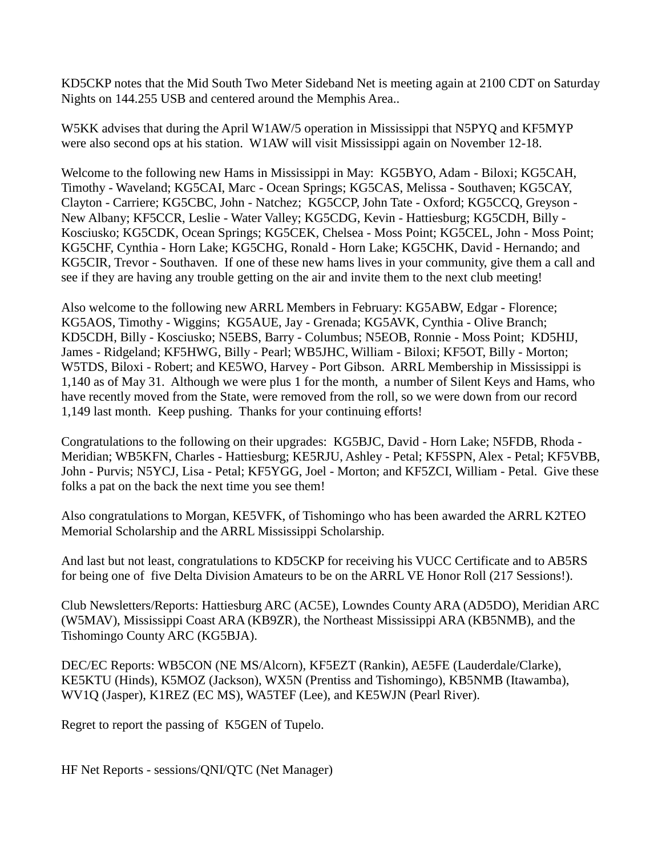KD5CKP notes that the Mid South Two Meter Sideband Net is meeting again at 2100 CDT on Saturday Nights on 144.255 USB and centered around the Memphis Area..

W5KK advises that during the April W1AW/5 operation in Mississippi that N5PYQ and KF5MYP were also second ops at his station. W1AW will visit Mississippi again on November 12-18.

Welcome to the following new Hams in Mississippi in May: KG5BYO, Adam - Biloxi; KG5CAH, Timothy - Waveland; KG5CAI, Marc - Ocean Springs; KG5CAS, Melissa - Southaven; KG5CAY, Clayton - Carriere; KG5CBC, John - Natchez; KG5CCP, John Tate - Oxford; KG5CCQ, Greyson - New Albany; KF5CCR, Leslie - Water Valley; KG5CDG, Kevin - Hattiesburg; KG5CDH, Billy - Kosciusko; KG5CDK, Ocean Springs; KG5CEK, Chelsea - Moss Point; KG5CEL, John - Moss Point; KG5CHF, Cynthia - Horn Lake; KG5CHG, Ronald - Horn Lake; KG5CHK, David - Hernando; and KG5CIR, Trevor - Southaven. If one of these new hams lives in your community, give them a call and see if they are having any trouble getting on the air and invite them to the next club meeting!

Also welcome to the following new ARRL Members in February: KG5ABW, Edgar - Florence; KG5AOS, Timothy - Wiggins; KG5AUE, Jay - Grenada; KG5AVK, Cynthia - Olive Branch; KD5CDH, Billy - Kosciusko; N5EBS, Barry - Columbus; N5EOB, Ronnie - Moss Point; KD5HIJ, James - Ridgeland; KF5HWG, Billy - Pearl; WB5JHC, William - Biloxi; KF5OT, Billy - Morton; W5TDS, Biloxi - Robert; and KE5WO, Harvey - Port Gibson. ARRL Membership in Mississippi is 1,140 as of May 31. Although we were plus 1 for the month, a number of Silent Keys and Hams, who have recently moved from the State, were removed from the roll, so we were down from our record 1,149 last month. Keep pushing. Thanks for your continuing efforts!

Congratulations to the following on their upgrades: KG5BJC, David - Horn Lake; N5FDB, Rhoda - Meridian; WB5KFN, Charles - Hattiesburg; KE5RJU, Ashley - Petal; KF5SPN, Alex - Petal; KF5VBB, John - Purvis; N5YCJ, Lisa - Petal; KF5YGG, Joel - Morton; and KF5ZCI, William - Petal. Give these folks a pat on the back the next time you see them!

Also congratulations to Morgan, KE5VFK, of Tishomingo who has been awarded the ARRL K2TEO Memorial Scholarship and the ARRL Mississippi Scholarship.

And last but not least, congratulations to KD5CKP for receiving his VUCC Certificate and to AB5RS for being one of five Delta Division Amateurs to be on the ARRL VE Honor Roll (217 Sessions!).

Club Newsletters/Reports: Hattiesburg ARC (AC5E), Lowndes County ARA (AD5DO), Meridian ARC (W5MAV), Mississippi Coast ARA (KB9ZR), the Northeast Mississippi ARA (KB5NMB), and the Tishomingo County ARC (KG5BJA).

DEC/EC Reports: WB5CON (NE MS/Alcorn), KF5EZT (Rankin), AE5FE (Lauderdale/Clarke), KE5KTU (Hinds), K5MOZ (Jackson), WX5N (Prentiss and Tishomingo), KB5NMB (Itawamba), WV1Q (Jasper), K1REZ (EC MS), WA5TEF (Lee), and KE5WJN (Pearl River).

Regret to report the passing of K5GEN of Tupelo.

HF Net Reports - sessions/QNI/QTC (Net Manager)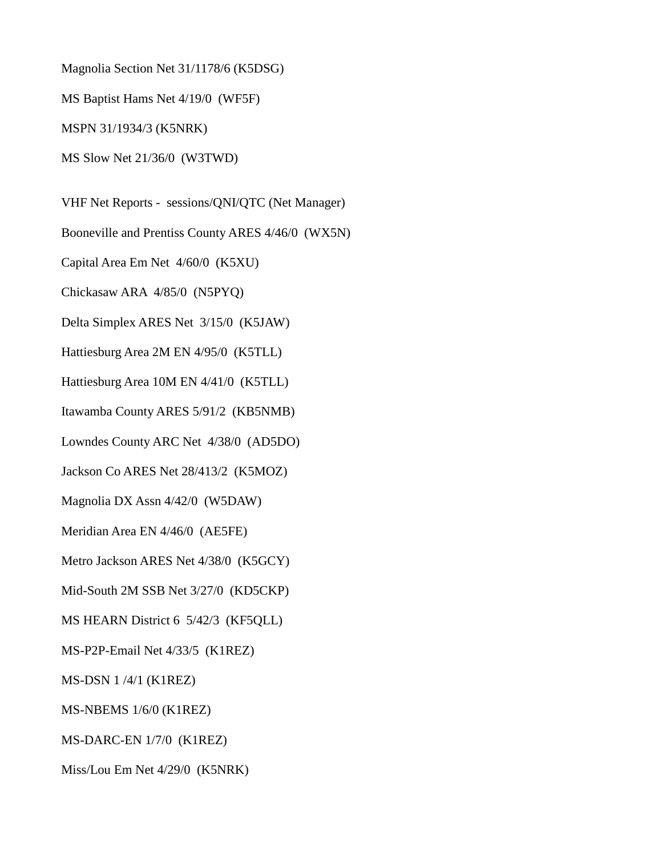Magnolia Section Net 31/1178/6 (K5DSG)

MS Baptist Hams Net 4/19/0 (WF5F)

MSPN 31/1934/3 (K5NRK)

MS Slow Net 21/36/0 (W3TWD)

VHF Net Reports - sessions/QNI/QTC (Net Manager)

Booneville and Prentiss County ARES 4/46/0 (WX5N)

Capital Area Em Net 4/60/0 (K5XU)

Chickasaw ARA 4/85/0 (N5PYQ)

Delta Simplex ARES Net 3/15/0 (K5JAW)

Hattiesburg Area 2M EN 4/95/0 (K5TLL)

Hattiesburg Area 10M EN 4/41/0 (K5TLL)

Itawamba County ARES 5/91/2 (KB5NMB)

Lowndes County ARC Net 4/38/0 (AD5DO)

Jackson Co ARES Net 28/413/2 (K5MOZ)

Magnolia DX Assn 4/42/0 (W5DAW)

Meridian Area EN 4/46/0 (AE5FE)

Metro Jackson ARES Net 4/38/0 (K5GCY)

Mid-South 2M SSB Net 3/27/0 (KD5CKP)

MS HEARN District 6 5/42/3 (KF5QLL)

MS-P2P-Email Net 4/33/5 (K1REZ)

MS-DSN 1 /4/1 (K1REZ)

MS-NBEMS 1/6/0 (K1REZ)

MS-DARC-EN 1/7/0 (K1REZ)

Miss/Lou Em Net 4/29/0 (K5NRK)